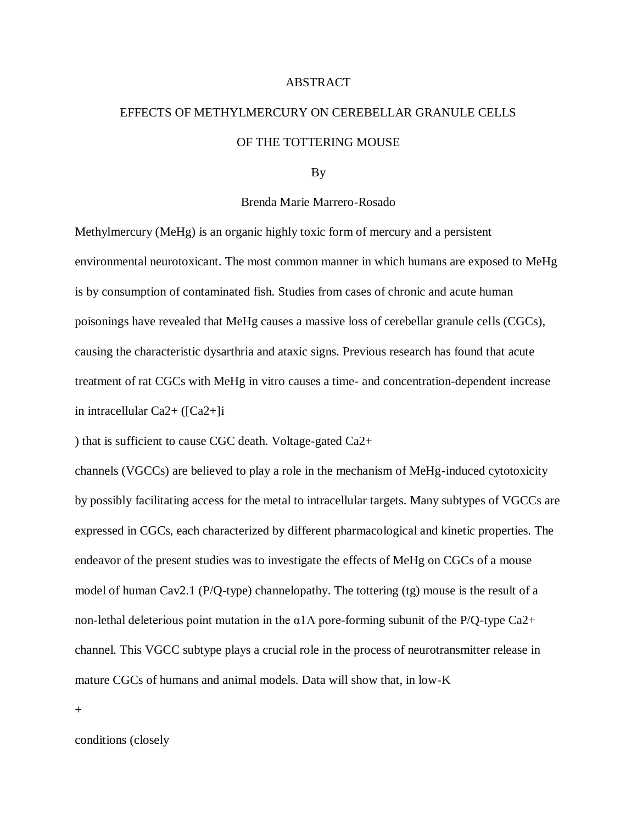## ABSTRACT

## EFFECTS OF METHYLMERCURY ON CEREBELLAR GRANULE CELLS OF THE TOTTERING MOUSE

## By

## Brenda Marie Marrero-Rosado

Methylmercury (MeHg) is an organic highly toxic form of mercury and a persistent environmental neurotoxicant. The most common manner in which humans are exposed to MeHg is by consumption of contaminated fish. Studies from cases of chronic and acute human poisonings have revealed that MeHg causes a massive loss of cerebellar granule cells (CGCs), causing the characteristic dysarthria and ataxic signs. Previous research has found that acute treatment of rat CGCs with MeHg in vitro causes a time- and concentration-dependent increase in intracellular Ca2+ ([Ca2+]i

) that is sufficient to cause CGC death. Voltage-gated Ca2+

channels (VGCCs) are believed to play a role in the mechanism of MeHg-induced cytotoxicity by possibly facilitating access for the metal to intracellular targets. Many subtypes of VGCCs are expressed in CGCs, each characterized by different pharmacological and kinetic properties. The endeavor of the present studies was to investigate the effects of MeHg on CGCs of a mouse model of human Cav2.1 (P/Q-type) channelopathy. The tottering (tg) mouse is the result of a non-lethal deleterious point mutation in the α1A pore-forming subunit of the P/Q-type Ca2+ channel. This VGCC subtype plays a crucial role in the process of neurotransmitter release in mature CGCs of humans and animal models. Data will show that, in low-K

+

conditions (closely